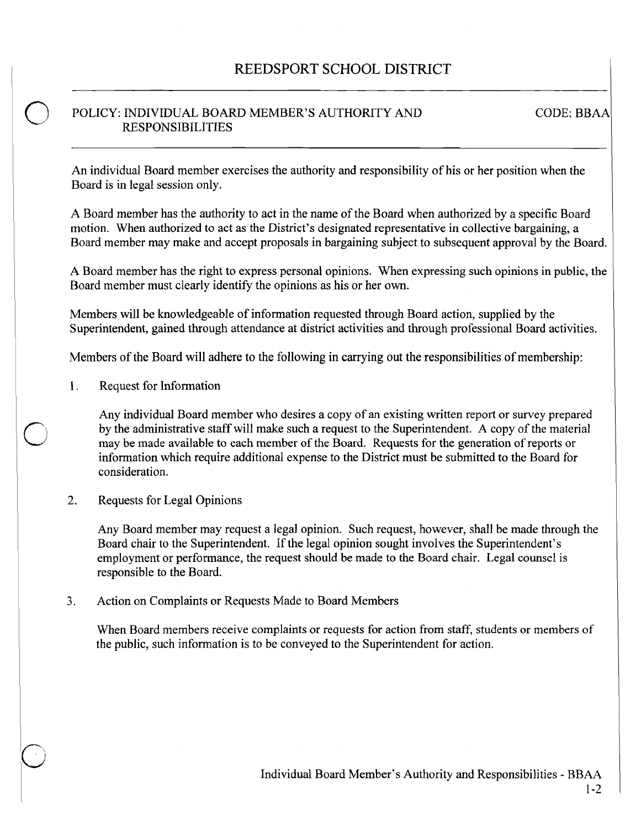## POLICY: INDIVIDUAL BOARD MEMBER'S AUTHORITY AND RESPONSIBILITIES

CODE: BBAA

An individual Board member exercises the authority and responsibility of his or her position when the Board is in legal session only.

A Board member has the authority to act in the name of the Board when authorized by a specific Board motion. When authorized to act as the District's designated representative in collective bargaining, a Board member may make and accept proposals in bargaining subject to subsequent approval by the Board.

A Board member has the right to express personal opinions. When expressing such opinions in public, the Board member must clearly identify the opinions as his or her own.

Members will be knowledgeable of information requested through Board action, supplied by the Superintendent, gained through attendance at district activities and through professional Board activities.

Members of the Board will adhere to the following in carrying out the responsibilities of membership:

1. Request for Information

o

o

Any individual Board member who desires a copy of an existing written report or survey prepared by the administrative staff will make such a request to the Superintendent. A copy of the material may be made available to each member of the Board. Requests for the generation of reports or information which require additional expense to the District must be submitted to the Board for consideration.

2. Requests for Legal Opinions

> Any Board member may request a legal opinion. Such request, however, shall be made through the Board chair to the Superintendent. If the legal opinion sought involves the Superintendent's employment or performance, the request should be made to the Board chair. Legal counsel is responsible to the Board.

3. Action on Complaints or Requests Made to Board Members

When Board members receive complaints or requests for action from staff, students or members of the public, such information is to be conveyed to the Superintendent for action.